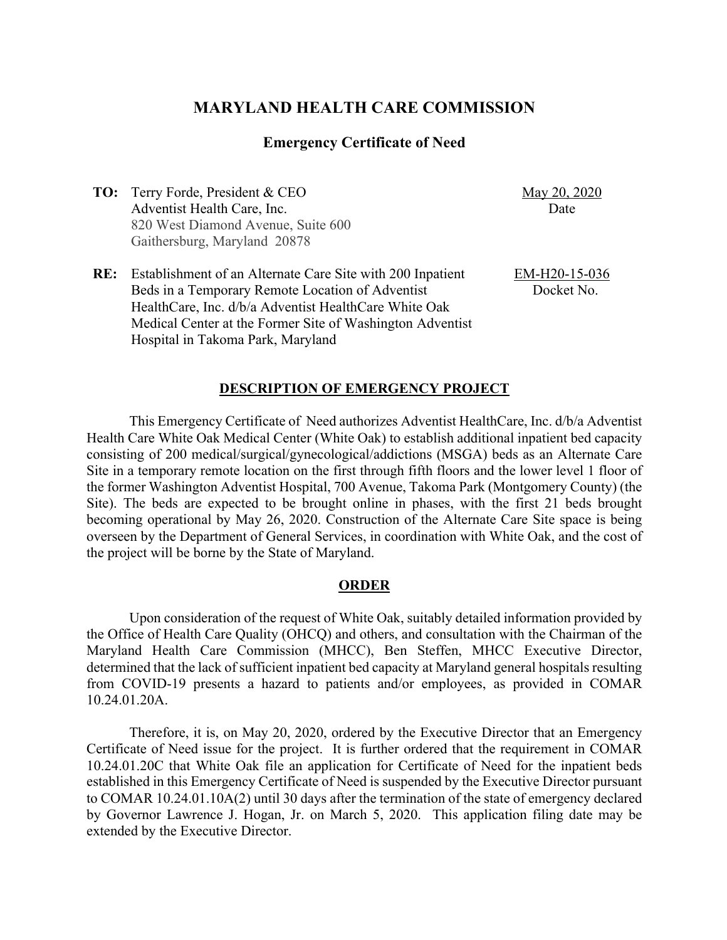# **MARYLAND HEALTH CARE COMMISSION**

#### **Emergency Certificate of Need**

**TO:** Terry Forde, President & CEO Adventist Health Care, Inc. 820 West Diamond Avenue, Suite 600 Gaithersburg, Maryland 20878

May 20, 2020 Date

**RE:** Establishment of an Alternate Care Site with 200 Inpatient Beds in a Temporary Remote Location of Adventist HealthCare, Inc. d/b/a Adventist HealthCare White Oak Medical Center at the Former Site of Washington Adventist Hospital in Takoma Park, Maryland

EM-H20-15-036 Docket No.

#### **DESCRIPTION OF EMERGENCY PROJECT**

This Emergency Certificate of Need authorizes Adventist HealthCare, Inc. d/b/a Adventist Health Care White Oak Medical Center (White Oak) to establish additional inpatient bed capacity consisting of 200 medical/surgical/gynecological/addictions (MSGA) beds as an Alternate Care Site in a temporary remote location on the first through fifth floors and the lower level 1 floor of the former Washington Adventist Hospital, 700 Avenue, Takoma Park (Montgomery County) (the Site). The beds are expected to be brought online in phases, with the first 21 beds brought becoming operational by May 26, 2020. Construction of the Alternate Care Site space is being overseen by the Department of General Services, in coordination with White Oak, and the cost of the project will be borne by the State of Maryland.

#### **ORDER**

Upon consideration of the request of White Oak, suitably detailed information provided by the Office of Health Care Quality (OHCQ) and others, and consultation with the Chairman of the Maryland Health Care Commission (MHCC), Ben Steffen, MHCC Executive Director, determined that the lack of sufficient inpatient bed capacity at Maryland general hospitals resulting from COVID-19 presents a hazard to patients and/or employees, as provided in COMAR 10.24.01.20A.

Therefore, it is, on May 20, 2020, ordered by the Executive Director that an Emergency Certificate of Need issue for the project. It is further ordered that the requirement in COMAR 10.24.01.20C that White Oak file an application for Certificate of Need for the inpatient beds established in this Emergency Certificate of Need is suspended by the Executive Director pursuant to COMAR 10.24.01.10A(2) until 30 days after the termination of the state of emergency declared by Governor Lawrence J. Hogan, Jr. on March 5, 2020. This application filing date may be extended by the Executive Director.